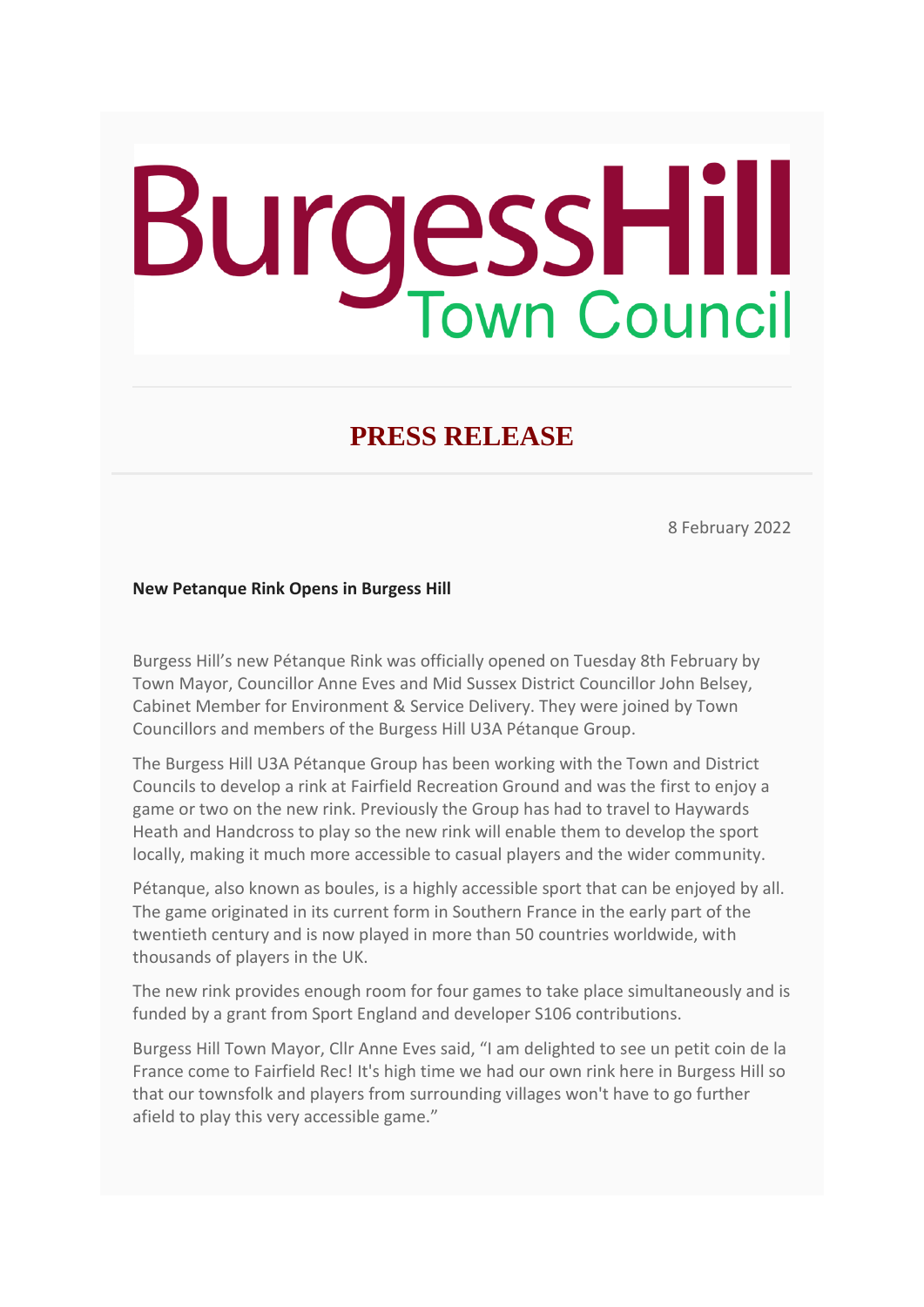## **BurgessHill**

## **PRESS RELEASE**

8 February 2022

## **New Petanque Rink Opens in Burgess Hill**

Burgess Hill's new Pétanque Rink was officially opened on Tuesday 8th February by Town Mayor, Councillor Anne Eves and Mid Sussex District Councillor John Belsey, Cabinet Member for Environment & Service Delivery. They were joined by Town Councillors and members of the Burgess Hill U3A Pétanque Group.

The Burgess Hill U3A Pétanque Group has been working with the Town and District Councils to develop a rink at Fairfield Recreation Ground and was the first to enjoy a game or two on the new rink. Previously the Group has had to travel to Haywards Heath and Handcross to play so the new rink will enable them to develop the sport locally, making it much more accessible to casual players and the wider community.

Pétanque, also known as boules, is a highly accessible sport that can be enjoyed by all. The game originated in its current form in Southern France in the early part of the twentieth century and is now played in more than 50 countries worldwide, with thousands of players in the UK.

The new rink provides enough room for four games to take place simultaneously and is funded by a grant from Sport England and developer S106 contributions.

Burgess Hill Town Mayor, Cllr Anne Eves said, "I am delighted to see un petit coin de la France come to Fairfield Rec! It's high time we had our own rink here in Burgess Hill so that our townsfolk and players from surrounding villages won't have to go further afield to play this very accessible game."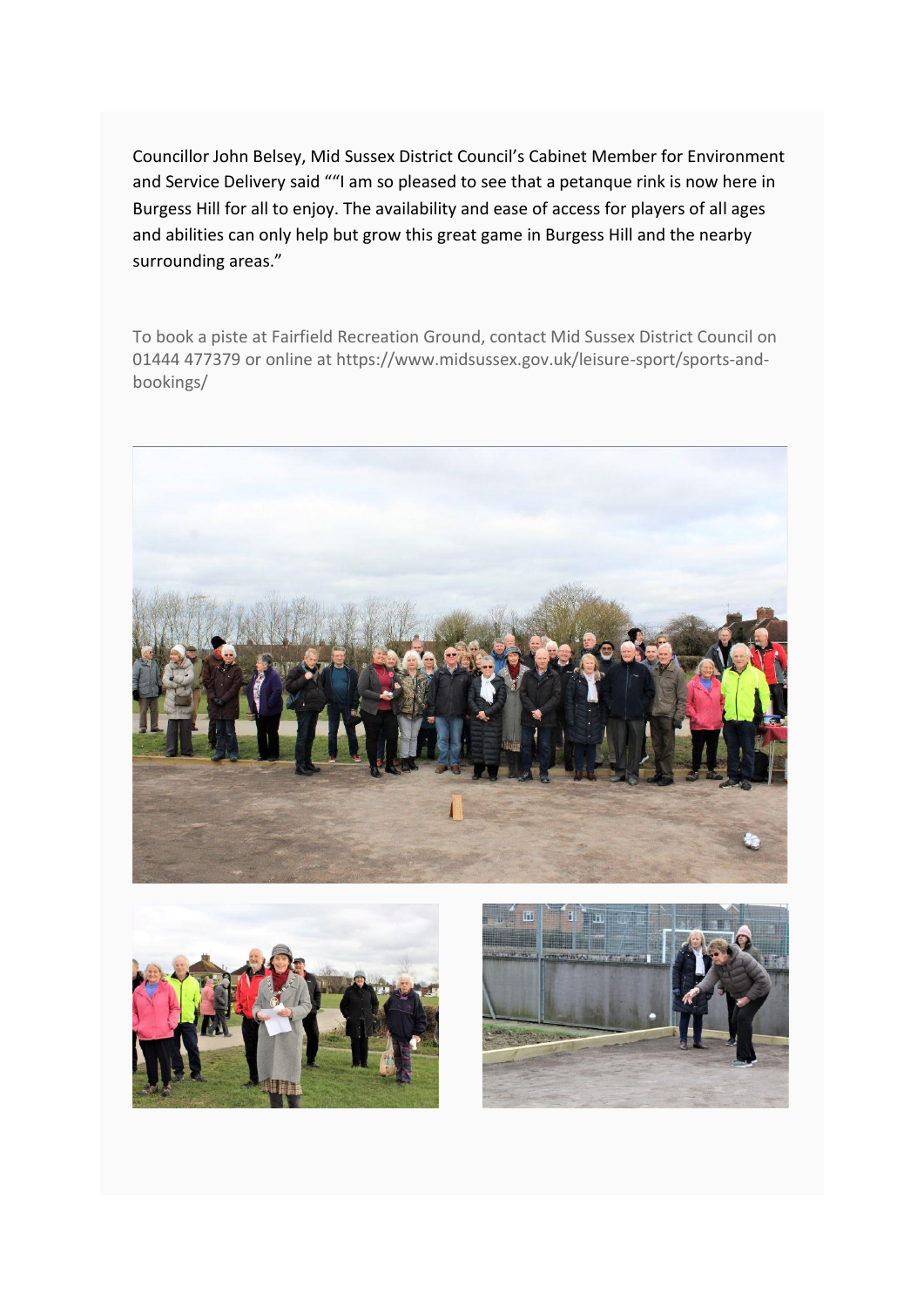Councillor John Belsey, Mid Sussex District Council's Cabinet Member for Environment and Service Delivery said ""I am so pleased to see that a petanque rink is now here in Burgess Hill for all to enjoy. The availability and ease of access for players of all ages and abilities can only help but grow this great game in Burgess Hill and the nearby surrounding areas."

To book a piste at Fairfield Recreation Ground, contact Mid Sussex District Council on 01444 477379 or online at https://www.midsussex.gov.uk/leisure-sport/sports-andbookings/